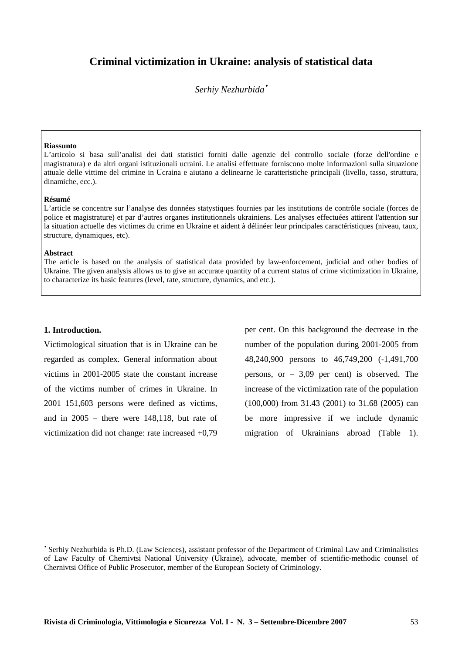# **Criminal victimization in Ukraine: analysis of statistical data**

*Serhiy Nezhurbida*•

#### **Riassunto**

L'articolo si basa sull'analisi dei dati statistici forniti dalle agenzie del controllo sociale (forze dell'ordine e magistratura) e da altri organi istituzionali ucraini. Le analisi effettuate forniscono molte informazioni sulla situazione attuale delle vittime del crimine in Ucraina e aiutano a delinearne le caratteristiche principali (livello, tasso, struttura, dinamiche, ecc.).

#### **Résumé**

L'article se concentre sur l'analyse des données statystiques fournies par les institutions de contrôle sociale (forces de police et magistrature) et par d'autres organes institutionnels ukrainiens. Les analyses effectuées attirent l'attention sur la situation actuelle des victimes du crime en Ukraine et aident à délinéer leur principales caractéristiques (niveau, taux, structure, dynamiques, etc).

### **Abstract**

The article is based on the analysis of statistical data provided by law-enforcement, judicial and other bodies of Ukraine. The given analysis allows us to give an accurate quantity of a current status of crime victimization in Ukraine, to characterize its basic features (level, rate, structure, dynamics, and etc.).

### **1. Introduction.**

 $\overline{a}$ 

Victimological situation that is in Ukraine can be regarded as complex. General information about victims in 2001-2005 state the constant increase of the victims number of crimes in Ukraine. In 2001 151,603 persons were defined as victims, and in 2005 – there were 148,118, but rate of victimization did not change: rate increased +0,79

per cent. On this background the decrease in the number of the population during 2001-2005 from 48,240,900 persons to 46,749,200 (-1,491,700 persons, or – 3,09 per cent) is observed. The increase of the victimization rate of the population (100,000) from 31.43 (2001) to 31.68 (2005) can be more impressive if we include dynamic migration of Ukrainians abroad (Table 1).

<sup>•</sup> Serhiy Nezhurbida is Ph.D. (Law Sciences), assistant professor of the Department of Criminal Law and Criminalistics of Law Faculty of Chernivtsi National University (Ukraine), advocate, member of scientific-methodic counsel of Chernivtsi Office of Public Prosecutor, member of the European Society of Criminology.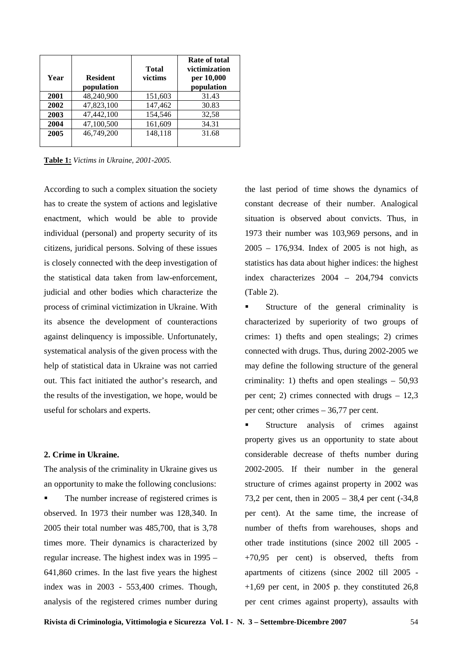| Year | <b>Resident</b><br>population | <b>Total</b><br>victims | Rate of total<br>victimization<br>per 10,000<br>population |
|------|-------------------------------|-------------------------|------------------------------------------------------------|
| 2001 | 48,240,900                    | 151,603                 | 31.43                                                      |
| 2002 | 47,823,100                    | 147,462                 | 30.83                                                      |
| 2003 | 47,442,100                    | 154,546                 | 32,58                                                      |
| 2004 | 47,100,500                    | 161,609                 | 34.31                                                      |
| 2005 | 46,749,200                    | 148,118                 | 31.68                                                      |

**Table 1:** *Victims in Ukraine, 2001-2005.*

According to such a complex situation the society has to create the system of actions and legislative enactment, which would be able to provide individual (personal) and property security of its citizens, juridical persons. Solving of these issues is closely connected with the deep investigation of the statistical data taken from law-enforcement, judicial and other bodies which characterize the process of criminal victimization in Ukraine. With its absence the development of counteractions against delinquency is impossible. Unfortunately, systematical analysis of the given process with the help of statistical data in Ukraine was not carried out. This fact initiated the author's research, and the results of the investigation, we hope, would be useful for scholars and experts.

## **2. Crime in Ukraine.**

The analysis of the criminality in Ukraine gives us an opportunity to make the following conclusions:

The number increase of registered crimes is observed. In 1973 their number was 128,340. In 2005 their total number was 485,700, that is 3,78 times more. Their dynamics is characterized by regular increase. The highest index was in 1995 – 641,860 crimes. In the last five years the highest index was in 2003 - 553,400 crimes. Though, analysis of the registered crimes number during the last period of time shows the dynamics of constant decrease of their number. Analogical situation is observed about convicts. Thus, in 1973 their number was 103,969 persons, and in 2005 – 176,934. Index of 2005 is not high, as statistics has data about higher indices: the highest index characterizes 2004 – 204,794 convicts (Table 2).

 Structure of the general criminality is characterized by superiority of two groups of crimes: 1) thefts and open stealings; 2) crimes connected with drugs. Thus, during 2002-2005 we may define the following structure of the general criminality: 1) thefts and open stealings – 50,93 per cent; 2) crimes connected with drugs – 12,3 per cent; other crimes – 36,77 per cent.

**Structure** analysis of crimes against property gives us an opportunity to state about considerable decrease of thefts number during 2002-2005. If their number in the general structure of crimes against property in 2002 was 73,2 per cent, then in 2005 – 38,4 per cent (-34,8 per cent). At the same time, the increase of number of thefts from warehouses, shops and other trade institutions (since 2002 till 2005 - +70,95 per cent) is observed, thefts from apartments of citizens (since 2002 till 2005 -  $+1,69$  per cent, in 2005 p. they constituted 26,8 per cent crimes against property), assaults with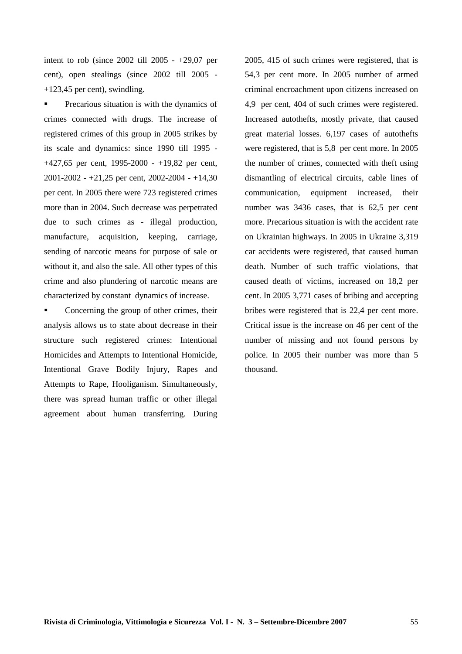intent to rob (since 2002 till 2005 - +29,07 per cent), open stealings (since 2002 till 2005 - +123,45 per cent), swindling.

**Precarious situation is with the dynamics of** crimes connected with drugs. The increase of registered crimes of this group in 2005 strikes by its scale and dynamics: since 1990 till 1995 - +427,65 per cent, 1995-2000 - +19,82 per cent, 2001-2002 - +21,25 per cent, 2002-2004 - +14,30 per cent. In 2005 there were 723 registered crimes more than in 2004. Such decrease was perpetrated due to such crimes as - illegal production, manufacture, acquisition, keeping, carriage, sending of narcotic means for purpose of sale or without it, and also the sale. All other types of this crime and also plundering of narcotic means are characterized by constant dynamics of increase.

• Concerning the group of other crimes, their analysis allows us to state about decrease in their structure such registered crimes: Intentional Homicides and Attempts to Intentional Homicide, Intentional Grave Bodily Injury, Rapes and Attempts to Rape, Hooliganism. Simultaneously, there was spread human traffic or other illegal agreement about human transferring. During

2005, 415 of such crimes were registered, that is 54,3 per cent more. In 2005 number of armed criminal encroachment upon citizens increased on 4,9 per cent, 404 of such crimes were registered. Increased autothefts, mostly private, that caused great material losses. 6,197 cases of autothefts were registered, that is 5,8 per cent more. In 2005 the number of crimes, connected with theft using dismantling of electrical circuits, cable lines of communication, equipment increased, their number was 3436 cases, that is 62,5 per cent more. Precarious situation is with the accident rate on Ukrainian highways. In 2005 in Ukraine 3,319 car accidents were registered, that caused human death. Number of such traffic violations, that caused death of victims, increased on 18,2 per cent. In 2005 3,771 cases of bribing and accepting bribes were registered that is 22,4 per cent more. Critical issue is the increase on 46 per cent of the number of missing and not found persons by police. In 2005 their number was more than 5 thousand.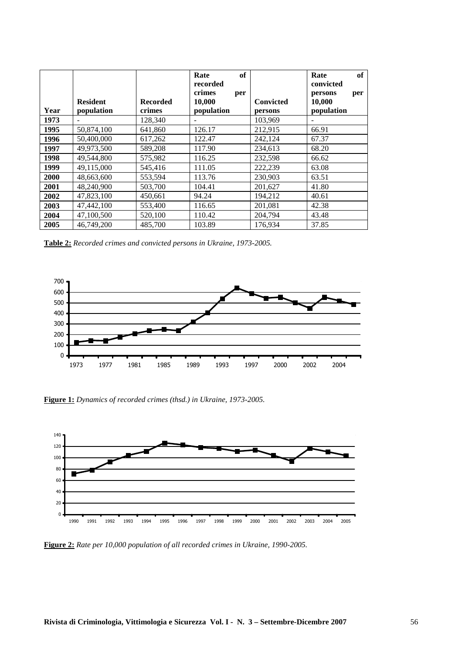|      |                 |                 | of<br>Rate<br>recorded<br>crimes<br>per |                  | of<br>Rate<br>convicted<br>persons<br>per |  |
|------|-----------------|-----------------|-----------------------------------------|------------------|-------------------------------------------|--|
|      | <b>Resident</b> | <b>Recorded</b> | 10,000                                  | <b>Convicted</b> | 10,000                                    |  |
| Year | population      | crimes          | population                              | persons          | population                                |  |
| 1973 |                 | 128,340         |                                         | 103,969          |                                           |  |
| 1995 | 50,874,100      | 641,860         | 126.17                                  | 212,915          | 66.91                                     |  |
| 1996 | 50,400,000      | 617,262         | 122.47                                  | 242,124          | 67.37                                     |  |
| 1997 | 49,973,500      | 589,208         | 117.90                                  | 234.613          | 68.20                                     |  |
| 1998 | 49,544,800      | 575,982         | 116.25                                  | 232,598          | 66.62                                     |  |
| 1999 | 49,115,000      | 545,416         | 111.05                                  | 222,239          | 63.08                                     |  |
| 2000 | 48,663,600      | 553,594         | 113.76                                  | 230.903          | 63.51                                     |  |
| 2001 | 48.240.900      | 503,700         | 104.41                                  | 201,627          | 41.80                                     |  |
| 2002 | 47,823,100      | 450,661         | 94.24                                   | 194,212          | 40.61                                     |  |
| 2003 | 47,442,100      | 553,400         | 116.65                                  | 201,081          | 42.38                                     |  |
| 2004 | 47,100,500      | 520,100         | 110.42                                  | 204,794          | 43.48                                     |  |
| 2005 | 46.749.200      | 485,700         | 103.89                                  | 176,934          | 37.85                                     |  |

**Table 2:** *Recorded crimes and convicted persons in Ukraine, 1973-2005.*



**Figure 1:** *Dynamics of recorded crimes (thsd.) in Ukraine, 1973-2005.*



**Figure 2:** *Rate per 10,000 population of all recorded crimes in Ukraine, 1990-2005.*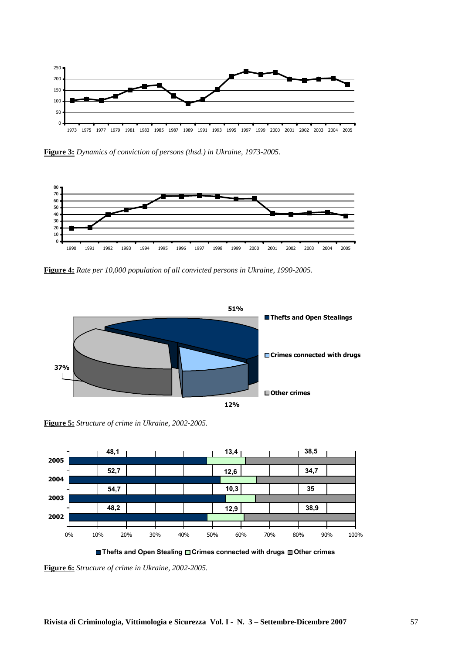

**Figure 3:** *Dynamics of conviction of persons (thsd.) in Ukraine, 1973-2005.*



**Figure 4:** *Rate per 10,000 population of all convicted persons in Ukraine, 1990-2005.*



**Figure 5:** *Structure of crime in Ukraine, 2002-2005.*



■ Thefts and Open Stealing **Orimes connected with drugs Other crimes** 

**Figure 6:** *Structure of crime in Ukraine, 2002-2005.*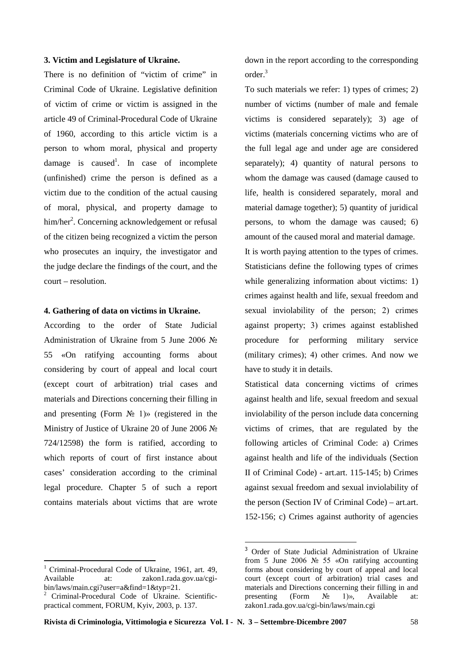## **3. Victim and Legislature of Ukraine.**

There is no definition of "victim of crime" in Criminal Code of Ukraine. Legislative definition of victim of crime or victim is assigned in the article 49 of Criminal-Procedural Code of Ukraine of 1960, according to this article victim is a person to whom moral, physical and property damage is caused<sup>1</sup>. In case of incomplete (unfinished) crime the person is defined as a victim due to the condition of the actual causing of moral, physical, and property damage to him/her<sup>2</sup>. Concerning acknowledgement or refusal of the citizen being recognized a victim the person who prosecutes an inquiry, the investigator and the judge declare the findings of the court, and the court – resolution.

## **4. Gathering of data on victims in Ukraine.**

According to the order of State Judicial Administration of Ukraine from 5 June 2006 № 55 «On ratifying accounting forms about considering by court of appeal and local court (except court of arbitration) trial cases and materials and Directions concerning their filling in and presenting (Form  $\mathbb{N}$  1)» (registered in the Ministry of Justice of Ukraine 20 of June 2006 № 724/12598) the form is ratified, according to which reports of court of first instance about cases' consideration according to the criminal legal procedure. Chapter 5 of such a report contains materials about victims that are wrote

 $\overline{a}$ 

down in the report according to the corresponding order. 3

To such materials we refer: 1) types of crimes; 2) number of victims (number of male and female victims is considered separately); 3) age of victims (materials concerning victims who are of the full legal age and under age are considered separately); 4) quantity of natural persons to whom the damage was caused (damage caused to life, health is considered separately, moral and material damage together); 5) quantity of juridical persons, to whom the damage was caused; 6) amount of the caused moral and material damage.

It is worth paying attention to the types of crimes. Statisticians define the following types of crimes while generalizing information about victims: 1) сrimes against health and life, sexual freedom and sexual inviolability of the person; 2) сrimes against property; 3) сrimes against established procedure for performing military service (military crimes); 4) оther crimes. And now we have to study it in details.

Statistical data concerning victims of сrimes against health and life, sexual freedom and sexual inviolability of the person include data concerning victims of crimes, that are regulated by the following articles of Criminal Code: a) Crimes against health and life of the individuals (Section II of Criminal Code) - art.art. 115-145; b) Crimes against sexual freedom and sexual inviolability of the person (Section IV of Criminal Code) – art.art. 152-156; c) Crimes against authority of agencies

 $\overline{a}$ 

Criminal-Procedural Code of Ukraine, 1961, art. 49, Available at: zakon1.rada.gov.ua/cgibin/laws/main.cgi?user=a&find=1&typ=21.

<sup>2</sup> Criminal-Procedural Code of Ukraine. Scientificpractical comment, FORUM, Kyiv, 2003, p. 137.

<sup>3</sup> Order of State Judicial Administration of Ukraine from 5 June 2006 № 55 «On ratifying accounting forms about considering by court of appeal and local court (except court of arbitration) trial cases and materials and Directions concerning their filling in and presenting (Form  $\mathbb{N}_2$  1)», Available at: zakon1.rada.gov.ua/cgi-bin/laws/main.cgi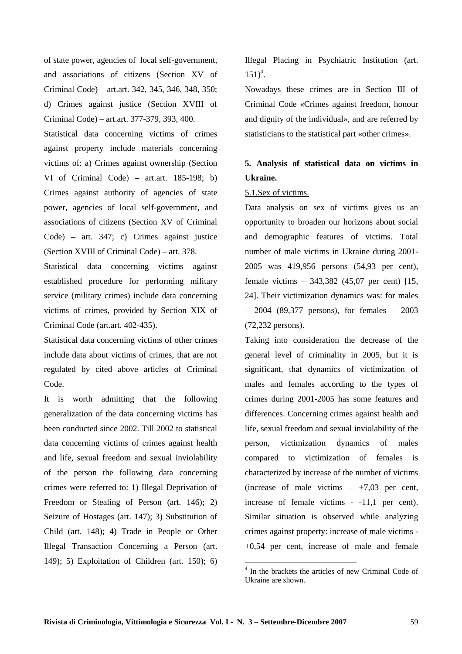of state power, agencies of local self-government, and associations of citizens (Section XV of Criminal Code) – art.art. 342, 345, 346, 348, 350; d) Crimes against justice (Section XVIII of Criminal Code) – art.art. 377-379, 393, 400.

Statistical data concerning victims of crimes against property include materials concerning victims of: a) Crimes against ownership (Section VI of Criminal Code) – art.art. 185-198; b) Crimes against authority of agencies of state power, agencies of local self-government, and associations of citizens (Section XV of Criminal Code) – art. 347; c) Crimes against justice (Section XVIII of Criminal Code) – art. 378.

Statistical data concerning victims against established procedure for performing military service (military crimes) include data concerning victims of crimes, provided by Section XIX of Criminal Code (art.art. 402-435).

Statistical data concerning victims of other crimes include data about victims of crimes, that are not regulated by cited above articles of Criminal Code.

It is worth admitting that the following generalization of the data concerning victims has been conducted since 2002. Till 2002 to statistical data concerning victims of сrimes against health and life, sexual freedom and sexual inviolability of the person the following data concerning crimes were referred to: 1) Illegal Deprivation of Freedom or Stealing of Person (art. 146); 2) Seizure of Hostages (art. 147); 3) Substitution of Child (art. 148); 4) Trade in People or Other Illegal Transaction Concerning a Person (art. 149); 5) Exploitation of Children (art. 150); 6)

Illegal Placing in Psychiatric Institution (art.  $151)^4$ .

Nowadays these crimes are in Section III of Criminal Code «Crimes against freedom, honour and dignity of the individual», and are referred by statisticians to the statistical part «other crimes».

# **5. Analysis of statistical data on victims in Ukraine.**

## 5.1.Sex of victims.

Data analysis on sex of victims gives us an opportunity to broaden our horizons about social and demographic features of victims. Total number of male victims in Ukraine during 2001- 2005 was 419,956 persons (54,93 per cent), female victims – 343,382 (45,07 per cent) [15, 24]. Their victimization dynamics was: for males – 2004 (89,377 persons), for females – 2003 (72,232 persons).

Taking into consideration the decrease of the general level of criminality in 2005, but it is significant, that dynamics of victimization of males and females according to the types of crimes during 2001-2005 has some features and differences. Concerning crimes against health and life, sexual freedom and sexual inviolability of the person, victimization dynamics of males compared to victimization of females is characterized by increase of the number of victims (increase of male victims  $- +7.03$  per cent, increase of female victims - -11,1 per cent). Similar situation is observed while analyzing crimes against property: increase of male victims - +0,54 per cent, increase of male and female

 4 In the brackets the articles of new Criminal Code of Ukraine are shown.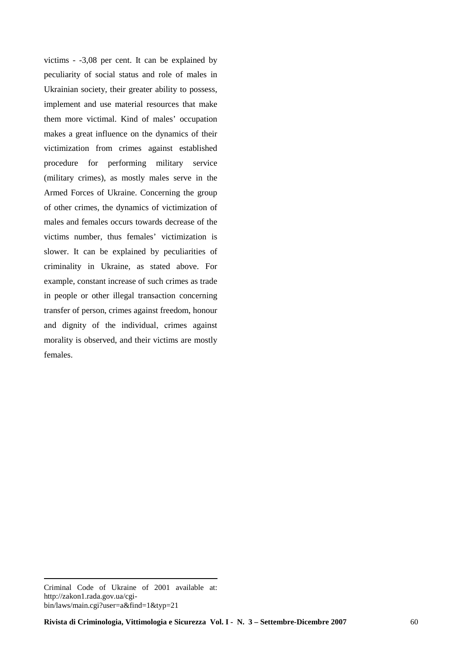victims - -3,08 per cent. It can be explained by peculiarity of social status and role of males in Ukrainian society, their greater ability to possess, implement and use material resources that make them more victimal. Kind of males' occupation makes a great influence on the dynamics of their victimization from crimes against established procedure for performing military service (military crimes), as mostly males serve in the Armed Forces of Ukraine. Concerning the group of other crimes, the dynamics of victimization of males and females occurs towards decrease of the victims number, thus females' victimization is slower. It can be explained by peculiarities of criminality in Ukraine, as stated above. For example, constant increase of such crimes as trade in people or other illegal transaction concerning transfer of person, crimes against freedom, honour and dignity of the individual, сrimes against morality is observed, and their victims are mostly females.

 $\overline{a}$ 

Criminal Code of Ukraine of 2001 available at: http://zakon1.rada.gov.ua/cgibin/laws/main.cgi?user=a&find=1&typ=21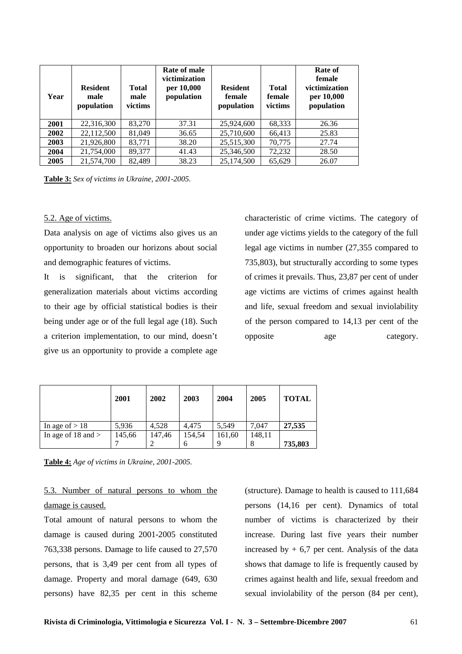| Year | <b>Resident</b><br>male<br>population | <b>Total</b><br>male<br>victims | Rate of male<br>victimization<br>per 10,000<br>population | <b>Resident</b><br>female<br>population | <b>Total</b><br>female<br>victims | Rate of<br>female<br>victimization<br>per 10,000<br>population |
|------|---------------------------------------|---------------------------------|-----------------------------------------------------------|-----------------------------------------|-----------------------------------|----------------------------------------------------------------|
| 2001 | 22,316,300                            | 83,270                          | 37.31                                                     | 25,924,600                              | 68,333                            | 26.36                                                          |
| 2002 | 22,112,500                            | 81,049                          | 36.65                                                     | 25,710,600                              | 66,413                            | 25.83                                                          |
| 2003 | 21,926,800                            | 83,771                          | 38.20                                                     | 25,515,300                              | 70.775                            | 27.74                                                          |
| 2004 | 21,754,000                            | 89,377                          | 41.43                                                     | 25,346,500                              | 72,232                            | 28.50                                                          |
| 2005 | 21,574,700                            | 82.489                          | 38.23                                                     | 25,174,500                              | 65,629                            | 26.07                                                          |

**Table 3:** *Sex of victims in Ukraine, 2001-2005.*

### 5.2. Age of victims.

Data analysis on age of victims also gives us an opportunity to broaden our horizons about social and demographic features of victims.

It is significant, that the criterion for generalization materials about victims according to their age by official statistical bodies is their being under age or of the full legal age (18). Such a criterion implementation, to our mind, doesn't give us an opportunity to provide a complete age

characteristic of crime victims. The category of under age victims yields to the category of the full legal age victims in number (27,355 compared to 735,803), but structurally according to some types of crimes it prevails. Thus, 23,87 per cent of under age victims are victims of crimes against health and life, sexual freedom and sexual inviolability of the person compared to 14,13 per cent of the opposite age category.

|                        | 2001   | 2002   | 2003   | 2004   | 2005   | <b>TOTAL</b> |
|------------------------|--------|--------|--------|--------|--------|--------------|
| In age of $> 18$       | 5,936  | 4.528  | 4.475  | 5.549  | 7.047  | 27,535       |
| In age of $18$ and $>$ | 145,66 | 147,46 | 154,54 | 161,60 | 148,11 |              |
|                        |        |        | 6      | 9      |        | 735,803      |

**Table 4:** *Age of victims in Ukraine, 2001-2005.*

5.3. Number of natural persons to whom the damage is caused.

Total amount of natural persons to whom the damage is caused during 2001-2005 constituted 763,338 persons. Damage to life caused to 27,570 persons, that is 3,49 per cent from all types of damage. Property and moral damage (649, 630 persons) have 82,35 per cent in this scheme (structure). Damage to health is caused to 111,684 persons (14,16 per cent). Dynamics of total number of victims is characterized by their increase. During last five years their number increased by  $+ 6.7$  per cent. Analysis of the data shows that damage to life is frequently caused by crimes against health and life, sexual freedom and sexual inviolability of the person (84 per cent),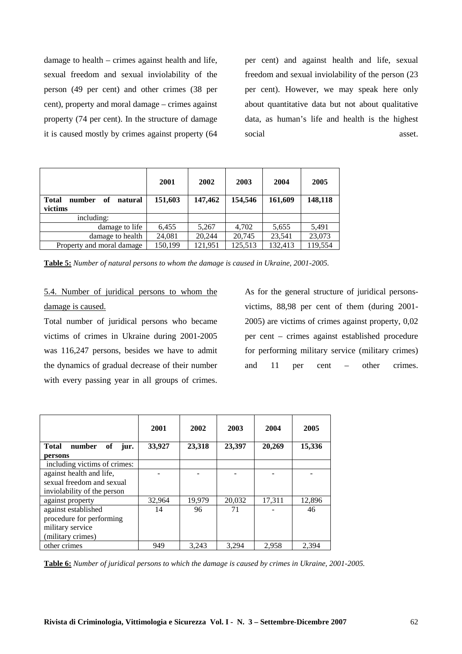damage to health – crimes against health and life, sexual freedom and sexual inviolability of the person (49 per cent) and other crimes (38 per cent), property and moral damage – crimes against property (74 per cent). In the structure of damage it is caused mostly by crimes against property (64

per cent) and against health and life, sexual freedom and sexual inviolability of the person (23 per cent). However, we may speak here only about quantitative data but not about qualitative data, as human's life and health is the highest social asset.

| <b>Total</b><br>number<br>of<br>natural<br>victims | 2001<br>151,603 | 2002<br>147,462 | 2003<br>154,546 | 2004<br>161,609 | 2005<br>148,118 |
|----------------------------------------------------|-----------------|-----------------|-----------------|-----------------|-----------------|
| including:                                         |                 |                 |                 |                 |                 |
| damage to life                                     | 6,455           | 5,267           | 4,702           | 5,655           | 5,491           |
| damage to health                                   | 24,081          | 20.244          | 20,745          | 23,541          | 23,073          |
| Property and moral damage                          | 150,199         | 121,951         | 125,513         | 132,413         | 119,554         |

**Table 5:** *Number of natural persons to whom the damage is caused in Ukraine, 2001-2005.*

5.4. Number of juridical persons to whom the damage is caused.

Total number of juridical persons who became victims of crimes in Ukraine during 2001-2005 was 116,247 persons, besides we have to admit the dynamics of gradual decrease of their number with every passing year in all groups of crimes.

As for the general structure of juridical personsvictims, 88,98 per cent of them (during 2001- 2005) are victims of crimes against property, 0,02 per cent – crimes against established procedure for performing military service (military crimes) and 11 per cent – other crimes.

|                                      | 2001   | 2002   | 2003   | 2004   | 2005   |
|--------------------------------------|--------|--------|--------|--------|--------|
| of<br><b>Total</b><br>number<br>jur. | 33,927 | 23,318 | 23,397 | 20,269 | 15,336 |
| persons                              |        |        |        |        |        |
| including victims of crimes:         |        |        |        |        |        |
| against health and life,             |        |        |        |        |        |
| sexual freedom and sexual            |        |        |        |        |        |
| inviolability of the person          |        |        |        |        |        |
| against property                     | 32,964 | 19,979 | 20,032 | 17,311 | 12,896 |
| against established                  | 14     | 96     | 71     |        | 46     |
| procedure for performing             |        |        |        |        |        |
| military service                     |        |        |        |        |        |
| (military crimes)                    |        |        |        |        |        |
| other crimes                         | 949    | 3.243  | 3.294  | 2.958  | 2.394  |

**Table 6:** *Number of juridical persons to which the damage is caused by crimes in Ukraine, 2001-2005.*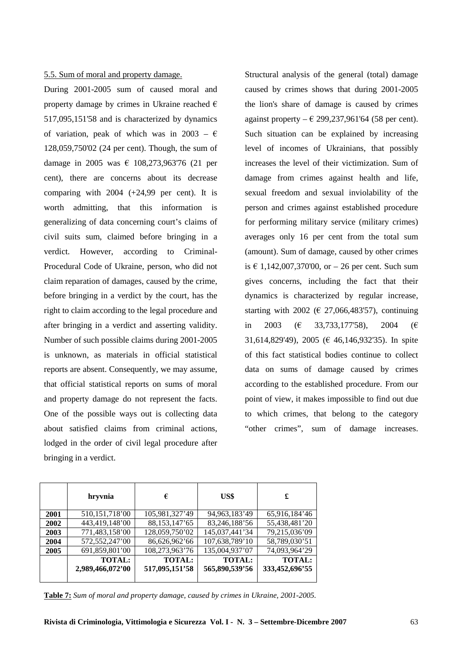### 5.5. Sum of moral and property damage.

During 2001-2005 sum of caused moral and property damage by crimes in Ukraine reached  $\epsilon$ 517,095,151'58 and is characterized by dynamics of variation, peak of which was in 2003 –  $\epsilon$ 128,059,750'02 (24 per cent). Though, the sum of damage in 2005 was  $\epsilon$  108,273,963'76 (21 per cent), there are concerns about its decrease comparing with 2004 (+24,99 per cent). It is worth admitting, that this information is generalizing of data concerning court's claims of civil suits sum, claimed before bringing in a verdict. However, according to Criminal-Procedural Code of Ukraine, person, who did not claim reparation of damages, caused by the crime, before bringing in a verdict by the court, has the right to claim according to the legal procedure and after bringing in a verdict and asserting validity. Number of such possible claims during 2001-2005 is unknown, as materials in official statistical reports are absent. Consequently, we may assume, that official statistical reports on sums of moral and property damage do not represent the facts. One of the possible ways out is collecting data about satisfied claims from criminal actions, lodged in the order of civil legal procedure after bringing in a verdict.

Structural analysis of the general (total) damage caused by crimes shows that during 2001-2005 the lion's share of damage is caused by crimes against property –  $\epsilon$  299,237,961'64 (58 per cent). Such situation can be explained by increasing level of incomes of Ukrainians, that possibly increases the level of their victimization. Sum of damage from crimes against health and life, sexual freedom and sexual inviolability of the person and crimes against established procedure for performing military service (military crimes) averages only 16 per cent from the total sum (amount). Sum of damage, caused by other crimes is € 1,142,007,370'00, or  $-$  26 per cent. Such sum gives concerns, including the fact that their dynamics is characterized by regular increase, starting with 2002 ( $\in$  27,066,483'57), continuing in 2003 ( $\in$  33.733.177'58), 2004 ( $\in$ 31,614,829'49), 2005 (€ 46,146,932'35). In spite of this fact statistical bodies continue to collect data on sums of damage caused by crimes according to the established procedure. From our point of view, it makes impossible to find out due to which crimes, that belong to the category "other crimes", sum of damage increases.

|      | hryvnia                           | €                               | US\$                            | £                               |
|------|-----------------------------------|---------------------------------|---------------------------------|---------------------------------|
| 2001 | 510, 151, 718'00                  | 105,981,327'49                  | 94, 963, 183' 49                | 65,916,184'46                   |
| 2002 | 443,419,148'00                    | 88, 153, 147' 65                | 83,246,188'56                   | 55,438,481'20                   |
| 2003 | 771,483,158'00                    | 128,059,750'02                  | 145,037,441'34                  | 79,215,036'09                   |
| 2004 | 572,552,247'00                    | 86,626,962'66                   | 107,638,789'10                  | 58,789,030'51                   |
| 2005 | 691,859,801'00                    | 108,273,963'76                  | 135,004,937'07                  | 74,093,964'29                   |
|      | <b>TOTAL:</b><br>2,989,466,072'00 | <b>TOTAL:</b><br>517,095,151'58 | <b>TOTAL:</b><br>565,890,539'56 | <b>TOTAL:</b><br>333,452,696'55 |

**Table 7:** *Sum of moral and property damage, caused by crimes in Ukraine, 2001-2005.*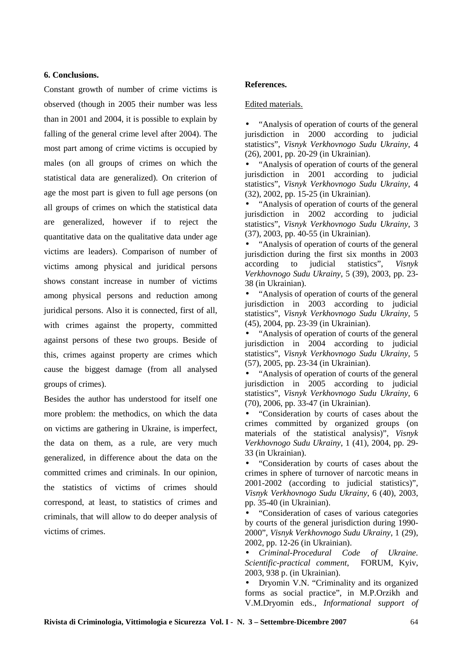## **6. Conclusions.**

Constant growth of number of crime victims is observed (though in 2005 their number was less than in 2001 and 2004, it is possible to explain by falling of the general crime level after 2004). The most part among of crime victims is occupied by males (on all groups of crimes on which the statistical data are generalized). On criterion of age the most part is given to full age persons (on all groups of crimes on which the statistical data are generalized, however if to reject the quantitative data on the qualitative data under age victims are leaders). Comparison of number of victims among physical and juridical persons shows constant increase in number of victims among physical persons and reduction among juridical persons. Also it is connected, first of all, with crimes against the property, committed against persons of these two groups. Beside of this, crimes against property are crimes which сause the biggest damage (from all analysed groups of crimes).

Besides the author has understood for itself one more problem: the methodics, on which the data on victims are gathering in Ukraine, is imperfect, the data on them, as a rule, are very much generalized, in difference about the data on the committed crimes and criminals. In our opinion, the statistics of victims of crimes should correspond, at least, to statistics of crimes and criminals, that will allow to do deeper analysis of victims of crimes.

## **References.**

### Edited materials.

• "Analysis of operation of courts of the general jurisdiction in 2000 according to judicial statistics", *Visnyk Verkhovnogo Sudu Ukrainy*, 4 (26), 2001, pp. 20-29 (in Ukrainian).

• "Analysis of operation of courts of the general jurisdiction in 2001 according to judicial statistics", *Visnyk Verkhovnogo Sudu Ukrainy*, 4 (32), 2002, pp. 15-25 (in Ukrainian).

• "Analysis of operation of courts of the general jurisdiction in 2002 according to judicial statistics", *Visnyk Verkhovnogo Sudu Ukrainy*, 3 (37), 2003, pp. 40-55 (in Ukrainian).

• "Analysis of operation of courts of the general jurisdiction during the first six months in 2003 according to judicial statistics", *Visnyk Verkhovnogo Sudu Ukrainy*, 5 (39), 2003, pp. 23- 38 (in Ukrainian).

• "Analysis of operation of courts of the general jurisdiction in 2003 according to judicial statistics", *Visnyk Verkhovnogo Sudu Ukrainy*, 5 (45), 2004, pp. 23-39 (in Ukrainian).

• "Analysis of operation of courts of the general jurisdiction in 2004 according to judicial statistics", *Visnyk Verkhovnogo Sudu Ukrainy*, 5 (57), 2005, pp. 23-34 (in Ukrainian).

• "Analysis of operation of courts of the general jurisdiction in 2005 according to judicial statistics", *Visnyk Verkhovnogo Sudu Ukrainy*, 6 (70), 2006, pp. 33-47 (in Ukrainian).

• "Consideration by courts of cases about the crimes committed by organized groups (on materials of the statistical analysis)", *Visnyk Verkhovnogo Sudu Ukrainy*, 1 (41), 2004, pp. 29- 33 (in Ukrainian).

• "Consideration by courts of cases about the crimes in sphere of turnover of narcotic means in 2001-2002 (according to judicial statistics)", *Visnyk Verkhovnogo Sudu Ukrainy*, 6 (40), 2003, pp. 35-40 (in Ukrainian).

• "Consideration of cases of various categories by courts of the general jurisdiction during 1990- 2000", *Visnyk Verkhovnogo Sudu Ukrainy*, 1 (29), 2002, pp. 12-26 (in Ukrainian).

• *Criminal-Procedural Code of Ukraine. Scientific-practical comment*, FORUM, Kyiv, 2003, 938 p. (in Ukrainian).

• Dryomin V.N. "Criminality and its organized forms as social practice", in M.P.Orzikh and V.M.Dryomin eds., *Informational support of*